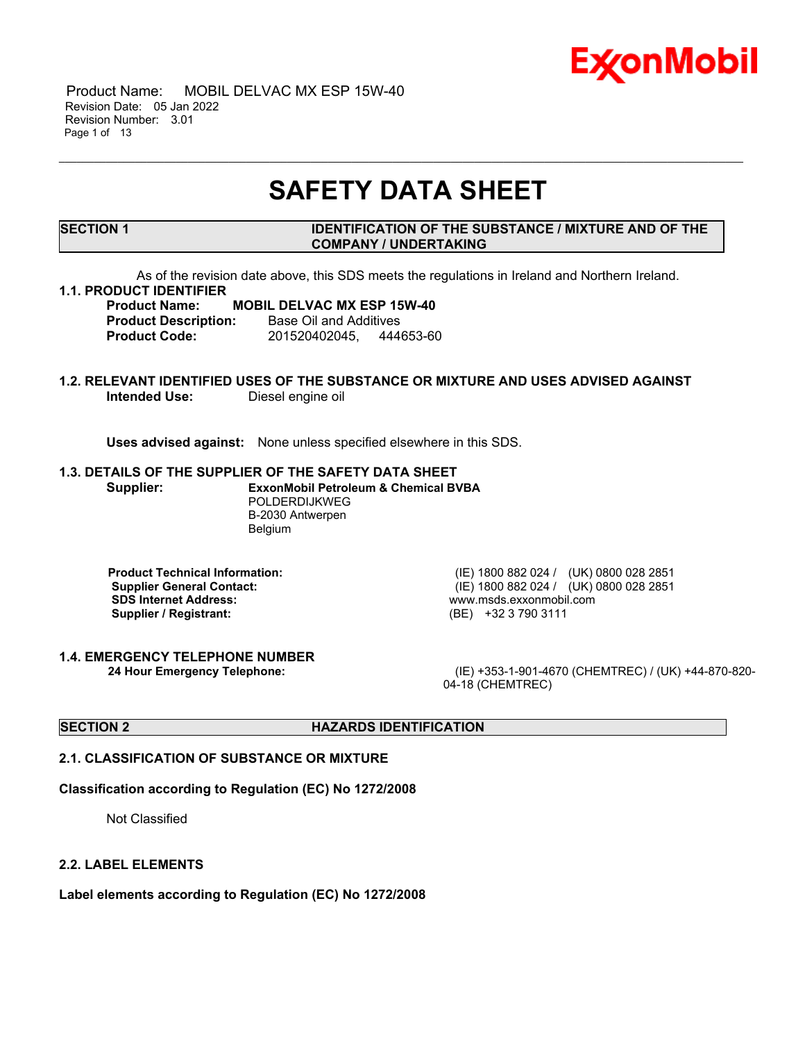

 Product Name: MOBIL DELVAC MX ESP 15W-40 Revision Date: 05 Jan 2022 Revision Number: 3.01 Page 1 of 13

## **SAFETY DATA SHEET**

\_\_\_\_\_\_\_\_\_\_\_\_\_\_\_\_\_\_\_\_\_\_\_\_\_\_\_\_\_\_\_\_\_\_\_\_\_\_\_\_\_\_\_\_\_\_\_\_\_\_\_\_\_\_\_\_\_\_\_\_\_\_\_\_\_\_\_\_\_\_\_\_\_\_\_\_\_\_\_\_\_\_\_\_\_\_\_\_\_\_\_\_\_\_\_\_\_\_\_\_\_\_\_\_\_\_\_\_\_\_\_\_\_\_\_\_\_

#### **SECTION 1 IDENTIFICATION OF THE SUBSTANCE / MIXTURE AND OF THE COMPANY / UNDERTAKING**

As of the revision date above, this SDS meets the regulations in Ireland and Northern Ireland.

#### **1.1. PRODUCT IDENTIFIER**

### **Product Name: MOBIL DELVAC MX ESP 15W-40**

**Product Description:** Base Oil and Additives **Product Code:** 201520402045, 444653-60

#### **1.2. RELEVANT IDENTIFIED USES OF THE SUBSTANCE OR MIXTURE AND USES ADVISED AGAINST Intended Use:** Diesel engine oil

**Uses advised against:** None unless specified elsewhere in this SDS.

#### **1.3. DETAILS OF THE SUPPLIER OF THE SAFETY DATA SHEET**

**Supplier: ExxonMobil Petroleum & Chemical BVBA** POLDERDIJKWEG B-2030 Antwerpen Belgium

**SDS Internet Address:** www.msds.exxonmobil.com **Supplier / Registrant:** (BE) +32 3 790 3111

**1.4. EMERGENCY TELEPHONE NUMBER**

**Product Technical Information:** (IE) 1800 882 024 / (UK) 0800 028 2851 **Supplier General Contact:** (IE) 1800 882 024 / (UK) 0800 028 2851

**24 Hour Emergency Telephone:** (IE) +353-1-901-4670 (CHEMTREC) / (UK) +44-870-820- 04-18 (CHEMTREC)

#### **SECTION 2 HAZARDS IDENTIFICATION**

#### **2.1. CLASSIFICATION OF SUBSTANCE OR MIXTURE**

#### **Classification according to Regulation (EC) No 1272/2008**

Not Classified

#### **2.2. LABEL ELEMENTS**

**Label elements according to Regulation (EC) No 1272/2008**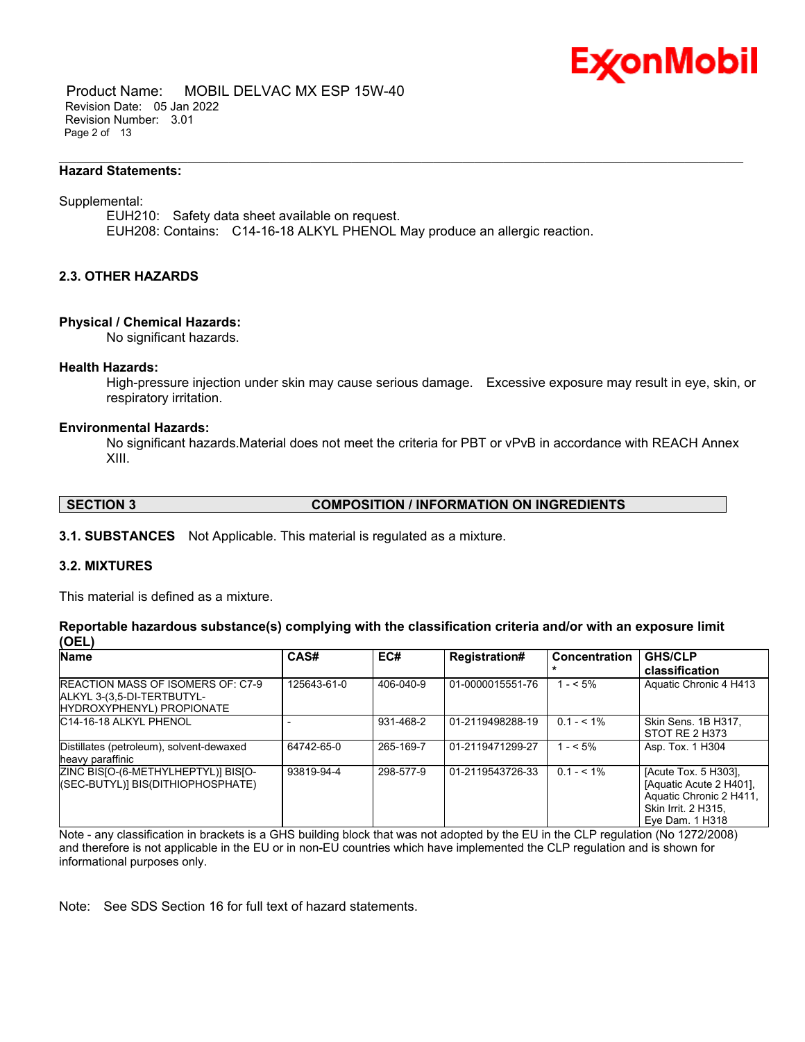

 Product Name: MOBIL DELVAC MX ESP 15W-40 Revision Date: 05 Jan 2022 Revision Number: 3.01 Page 2 of 13

#### **Hazard Statements:**

#### Supplemental:

EUH210: Safety data sheet available on request. EUH208: Contains: C14-16-18 ALKYL PHENOL May produce an allergic reaction.

\_\_\_\_\_\_\_\_\_\_\_\_\_\_\_\_\_\_\_\_\_\_\_\_\_\_\_\_\_\_\_\_\_\_\_\_\_\_\_\_\_\_\_\_\_\_\_\_\_\_\_\_\_\_\_\_\_\_\_\_\_\_\_\_\_\_\_\_\_\_\_\_\_\_\_\_\_\_\_\_\_\_\_\_\_\_\_\_\_\_\_\_\_\_\_\_\_\_\_\_\_\_\_\_\_\_\_\_\_\_\_\_\_\_\_\_\_

#### **2.3. OTHER HAZARDS**

#### **Physical / Chemical Hazards:**

No significant hazards.

#### **Health Hazards:**

High-pressure injection under skin may cause serious damage. Excessive exposure may result in eye, skin, or respiratory irritation.

#### **Environmental Hazards:**

No significant hazards.Material does not meet the criteria for PBT or vPvB in accordance with REACH Annex XIII.

#### **SECTION 3 COMPOSITION / INFORMATION ON INGREDIENTS**

**3.1. SUBSTANCES** Not Applicable. This material is regulated as a mixture.

#### **3.2. MIXTURES**

This material is defined as a mixture.

#### **Reportable hazardous substance(s) complying with the classification criteria and/or with an exposure limit (OEL)**

| <b>Name</b>                                                                                         | CAS#        | EC#       | <b>Registration#</b> | <b>Concentration</b> | <b>GHS/CLP</b><br>classification                                                                                            |
|-----------------------------------------------------------------------------------------------------|-------------|-----------|----------------------|----------------------|-----------------------------------------------------------------------------------------------------------------------------|
| <b>REACTION MASS OF ISOMERS OF: C7-9</b><br>ALKYL 3-(3,5-DI-TERTBUTYL-<br>HYDROXYPHENYL) PROPIONATE | 125643-61-0 | 406-040-9 | 01-0000015551-76     | $1 - 5\%$            | Aquatic Chronic 4 H413                                                                                                      |
| IC14-16-18 ALKYL PHENOL                                                                             |             | 931-468-2 | 01-2119498288-19     | $0.1 - 5.1\%$        | Skin Sens. 1B H317.<br>STOT RE 2 H373                                                                                       |
| Distillates (petroleum), solvent-dewaxed<br>heavy paraffinic                                        | 64742-65-0  | 265-169-7 | 01-2119471299-27     | $1 - 5\%$            | Asp. Tox. 1 H304                                                                                                            |
| ZINC BISJO-(6-METHYLHEPTYL)] BISJO-<br>((SEC-BUTYL)] BIS(DITHIOPHOSPHATE)                           | 93819-94-4  | 298-577-9 | 01-2119543726-33     | $0.1 - 5.1\%$        | [Acute Tox. 5 H303],<br>[Aquatic Acute 2 H401].<br>Aquatic Chronic 2 H411,<br><b>Skin Irrit. 2 H315.</b><br>Eve Dam. 1 H318 |

Note - any classification in brackets is a GHS building block that was not adopted by the EU in the CLP regulation (No 1272/2008) and therefore is not applicable in the EU or in non-EU countries which have implemented the CLP regulation and is shown for informational purposes only.

Note: See SDS Section 16 for full text of hazard statements.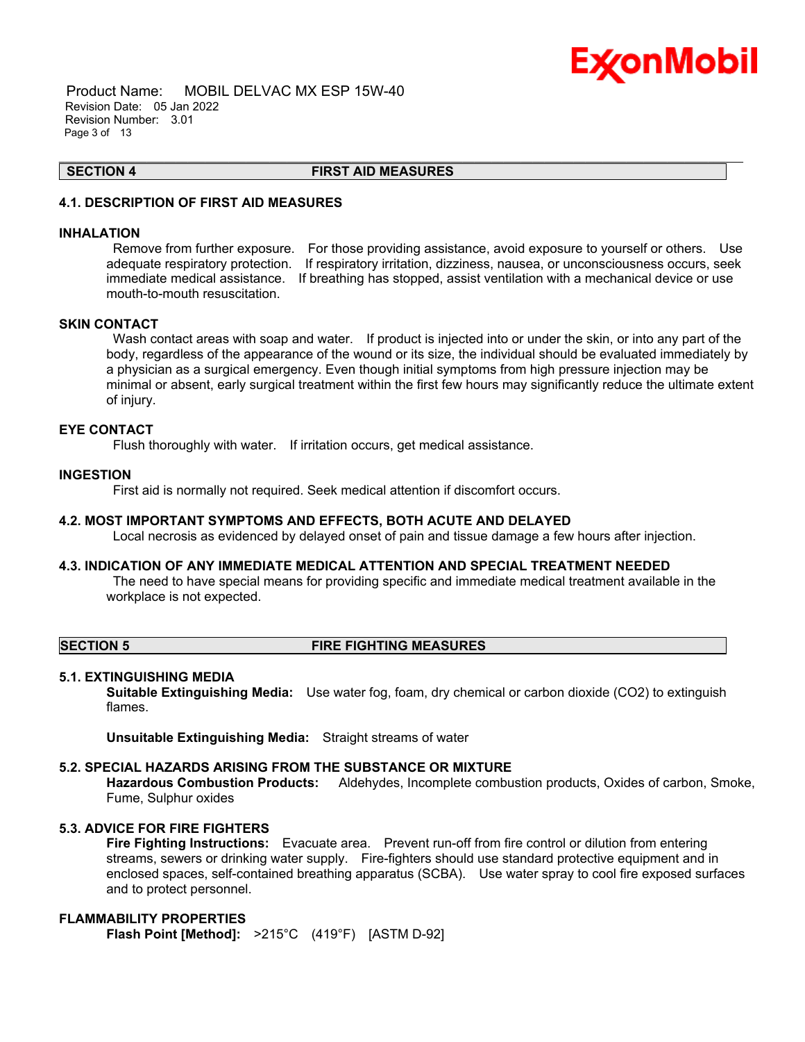

 Product Name: MOBIL DELVAC MX ESP 15W-40 Revision Date: 05 Jan 2022 Revision Number: 3.01 Page 3 of 13

**SECTION 4 FIRST AID MEASURES**

\_\_\_\_\_\_\_\_\_\_\_\_\_\_\_\_\_\_\_\_\_\_\_\_\_\_\_\_\_\_\_\_\_\_\_\_\_\_\_\_\_\_\_\_\_\_\_\_\_\_\_\_\_\_\_\_\_\_\_\_\_\_\_\_\_\_\_\_\_\_\_\_\_\_\_\_\_\_\_\_\_\_\_\_\_\_\_\_\_\_\_\_\_\_\_\_\_\_\_\_\_\_\_\_\_\_\_\_\_\_\_\_\_\_\_\_\_

### **4.1. DESCRIPTION OF FIRST AID MEASURES**

#### **INHALATION**

Remove from further exposure. For those providing assistance, avoid exposure to yourself or others. Use adequate respiratory protection. If respiratory irritation, dizziness, nausea, or unconsciousness occurs, seek immediate medical assistance. If breathing has stopped, assist ventilation with a mechanical device or use mouth-to-mouth resuscitation.

#### **SKIN CONTACT**

Wash contact areas with soap and water. If product is injected into or under the skin, or into any part of the body, regardless of the appearance of the wound or its size, the individual should be evaluated immediately by a physician as a surgical emergency. Even though initial symptoms from high pressure injection may be minimal or absent, early surgical treatment within the first few hours may significantly reduce the ultimate extent of injury.

#### **EYE CONTACT**

Flush thoroughly with water. If irritation occurs, get medical assistance.

#### **INGESTION**

First aid is normally not required. Seek medical attention if discomfort occurs.

#### **4.2. MOST IMPORTANT SYMPTOMS AND EFFECTS, BOTH ACUTE AND DELAYED**

Local necrosis as evidenced by delayed onset of pain and tissue damage a few hours after injection.

#### **4.3. INDICATION OF ANY IMMEDIATE MEDICAL ATTENTION AND SPECIAL TREATMENT NEEDED**

The need to have special means for providing specific and immediate medical treatment available in the workplace is not expected.

#### **SECTION 5 FIRE FIGHTING MEASURES**

#### **5.1. EXTINGUISHING MEDIA**

**Suitable Extinguishing Media:** Use water fog, foam, dry chemical or carbon dioxide (CO2) to extinguish flames.

**Unsuitable Extinguishing Media:** Straight streams of water

#### **5.2. SPECIAL HAZARDS ARISING FROM THE SUBSTANCE OR MIXTURE**

**Hazardous Combustion Products:** Aldehydes, Incomplete combustion products, Oxides of carbon, Smoke, Fume, Sulphur oxides

#### **5.3. ADVICE FOR FIRE FIGHTERS**

**Fire Fighting Instructions:** Evacuate area. Prevent run-off from fire control or dilution from entering streams, sewers or drinking water supply. Fire-fighters should use standard protective equipment and in enclosed spaces, self-contained breathing apparatus (SCBA). Use water spray to cool fire exposed surfaces and to protect personnel.

### **FLAMMABILITY PROPERTIES**

**Flash Point [Method]:** >215°C (419°F) [ASTM D-92]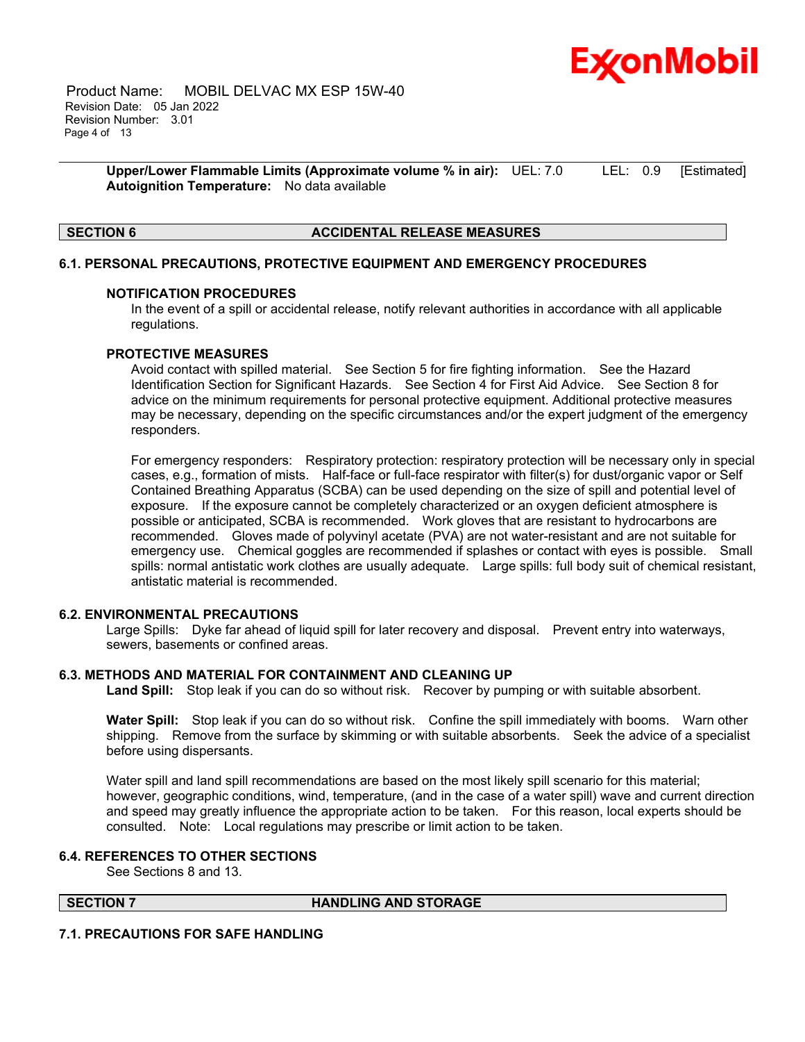

 Product Name: MOBIL DELVAC MX ESP 15W-40 Revision Date: 05 Jan 2022 Revision Number: 3.01 Page 4 of 13

> **Upper/Lower Flammable Limits (Approximate volume % in air):** UEL: 7.0 LEL: 0.9 [Estimated] **Autoignition Temperature:** No data available

\_\_\_\_\_\_\_\_\_\_\_\_\_\_\_\_\_\_\_\_\_\_\_\_\_\_\_\_\_\_\_\_\_\_\_\_\_\_\_\_\_\_\_\_\_\_\_\_\_\_\_\_\_\_\_\_\_\_\_\_\_\_\_\_\_\_\_\_\_\_\_\_\_\_\_\_\_\_\_\_\_\_\_\_\_\_\_\_\_\_\_\_\_\_\_\_\_\_\_\_\_\_\_\_\_\_\_\_\_\_\_\_\_\_\_\_\_

#### **SECTION 6 ACCIDENTAL RELEASE MEASURES**

#### **6.1. PERSONAL PRECAUTIONS, PROTECTIVE EQUIPMENT AND EMERGENCY PROCEDURES**

#### **NOTIFICATION PROCEDURES**

In the event of a spill or accidental release, notify relevant authorities in accordance with all applicable regulations.

#### **PROTECTIVE MEASURES**

Avoid contact with spilled material. See Section 5 for fire fighting information. See the Hazard Identification Section for Significant Hazards. See Section 4 for First Aid Advice. See Section 8 for advice on the minimum requirements for personal protective equipment. Additional protective measures may be necessary, depending on the specific circumstances and/or the expert judgment of the emergency responders.

For emergency responders: Respiratory protection: respiratory protection will be necessary only in special cases, e.g., formation of mists. Half-face or full-face respirator with filter(s) for dust/organic vapor or Self Contained Breathing Apparatus (SCBA) can be used depending on the size of spill and potential level of exposure. If the exposure cannot be completely characterized or an oxygen deficient atmosphere is possible or anticipated, SCBA is recommended. Work gloves that are resistant to hydrocarbons are recommended. Gloves made of polyvinyl acetate (PVA) are not water-resistant and are not suitable for emergency use. Chemical goggles are recommended if splashes or contact with eyes is possible. Small spills: normal antistatic work clothes are usually adequate. Large spills: full body suit of chemical resistant, antistatic material is recommended.

#### **6.2. ENVIRONMENTAL PRECAUTIONS**

Large Spills: Dyke far ahead of liquid spill for later recovery and disposal. Prevent entry into waterways, sewers, basements or confined areas.

#### **6.3. METHODS AND MATERIAL FOR CONTAINMENT AND CLEANING UP**

**Land Spill:** Stop leak if you can do so without risk. Recover by pumping or with suitable absorbent.

**Water Spill:** Stop leak if you can do so without risk. Confine the spill immediately with booms. Warn other shipping. Remove from the surface by skimming or with suitable absorbents. Seek the advice of a specialist before using dispersants.

Water spill and land spill recommendations are based on the most likely spill scenario for this material; however, geographic conditions, wind, temperature, (and in the case of a water spill) wave and current direction and speed may greatly influence the appropriate action to be taken. For this reason, local experts should be consulted. Note: Local regulations may prescribe or limit action to be taken.

#### **6.4. REFERENCES TO OTHER SECTIONS**

See Sections 8 and 13.

#### **SECTION 7 HANDLING AND STORAGE**

#### **7.1. PRECAUTIONS FOR SAFE HANDLING**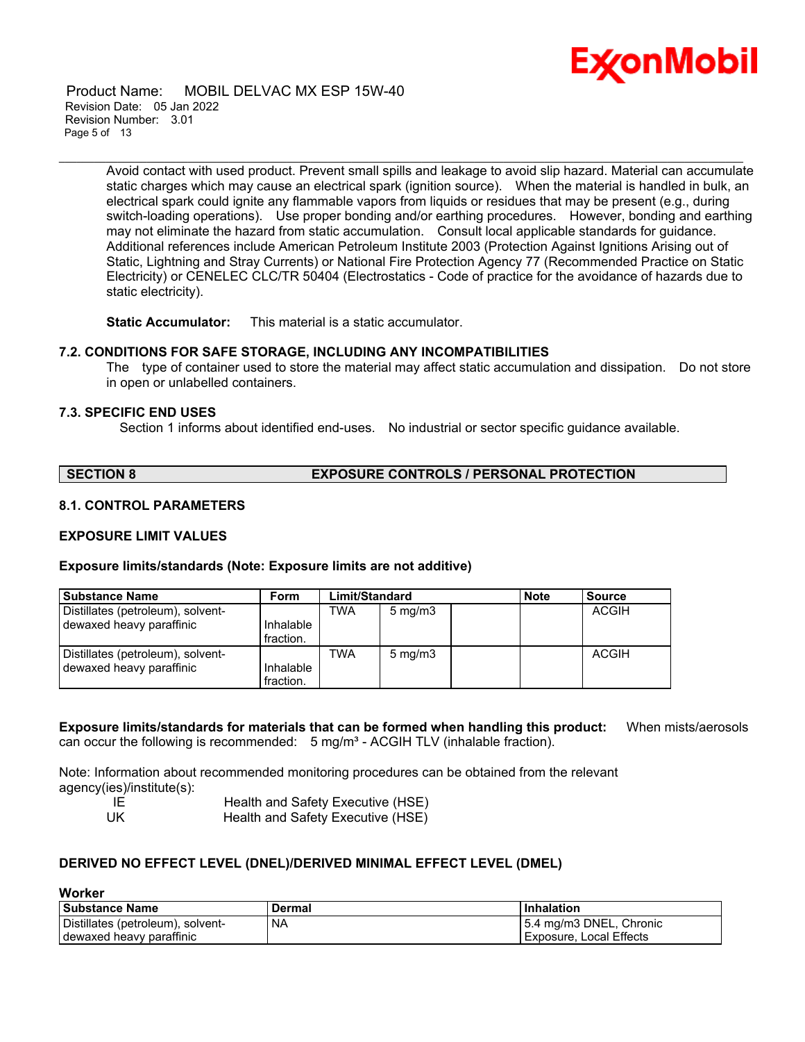

 Product Name: MOBIL DELVAC MX ESP 15W-40 Revision Date: 05 Jan 2022 Revision Number: 3.01 Page 5 of 13

> Avoid contact with used product. Prevent small spills and leakage to avoid slip hazard. Material can accumulate static charges which may cause an electrical spark (ignition source). When the material is handled in bulk, an electrical spark could ignite any flammable vapors from liquids or residues that may be present (e.g., during switch-loading operations). Use proper bonding and/or earthing procedures. However, bonding and earthing may not eliminate the hazard from static accumulation. Consult local applicable standards for guidance. Additional references include American Petroleum Institute 2003 (Protection Against Ignitions Arising out of Static, Lightning and Stray Currents) or National Fire Protection Agency 77 (Recommended Practice on Static Electricity) or CENELEC CLC/TR 50404 (Electrostatics - Code of practice for the avoidance of hazards due to static electricity).

\_\_\_\_\_\_\_\_\_\_\_\_\_\_\_\_\_\_\_\_\_\_\_\_\_\_\_\_\_\_\_\_\_\_\_\_\_\_\_\_\_\_\_\_\_\_\_\_\_\_\_\_\_\_\_\_\_\_\_\_\_\_\_\_\_\_\_\_\_\_\_\_\_\_\_\_\_\_\_\_\_\_\_\_\_\_\_\_\_\_\_\_\_\_\_\_\_\_\_\_\_\_\_\_\_\_\_\_\_\_\_\_\_\_\_\_\_

**Static Accumulator:** This material is a static accumulator.

#### **7.2. CONDITIONS FOR SAFE STORAGE, INCLUDING ANY INCOMPATIBILITIES**

The type of container used to store the material may affect static accumulation and dissipation. Do not store in open or unlabelled containers.

#### **7.3. SPECIFIC END USES**

Section 1 informs about identified end-uses. No industrial or sector specific guidance available.

| <b>SECTION 8</b> | <b>EXPOSURE CONTROLS / PERSONAL PROTECTION</b> |
|------------------|------------------------------------------------|
|------------------|------------------------------------------------|

### **8.1. CONTROL PARAMETERS**

#### **EXPOSURE LIMIT VALUES**

#### **Exposure limits/standards (Note: Exposure limits are not additive)**

| <b>Substance Name</b>             | Form      | Limit/Standard |                  |  | <b>Note</b> | <b>Source</b> |
|-----------------------------------|-----------|----------------|------------------|--|-------------|---------------|
| Distillates (petroleum), solvent- |           | <b>TWA</b>     | $5 \text{ mg/m}$ |  |             | ACGIH         |
| dewaxed heavy paraffinic          | Inhalable |                |                  |  |             |               |
|                                   | fraction. |                |                  |  |             |               |
| Distillates (petroleum), solvent- |           | TWA            | $5 \text{ mg/m}$ |  |             | ACGIH         |
| dewaxed heavy paraffinic          | Inhalable |                |                  |  |             |               |
|                                   | fraction. |                |                  |  |             |               |

**Exposure limits/standards for materials that can be formed when handling this product:** When mists/aerosols can occur the following is recommended:  $5 \text{ mg/m}^3$  - ACGIH TLV (inhalable fraction).

Note: Information about recommended monitoring procedures can be obtained from the relevant agency(ies)/institute(s):

| IE  | Health and Safety Executive (HSE) |
|-----|-----------------------------------|
| -UK | Health and Safety Executive (HSE) |

#### **DERIVED NO EFFECT LEVEL (DNEL)/DERIVED MINIMAL EFFECT LEVEL (DMEL)**

#### **Worker**

| l Substance Name                  | Dermal | <b>Inhalation</b>         |
|-----------------------------------|--------|---------------------------|
| Distillates (petroleum), solvent- | ΝA     | 5.4 mg/m3 DNEL, Chronic   |
| dewaxed heavy paraffinic          |        | l Exposure. Local Effects |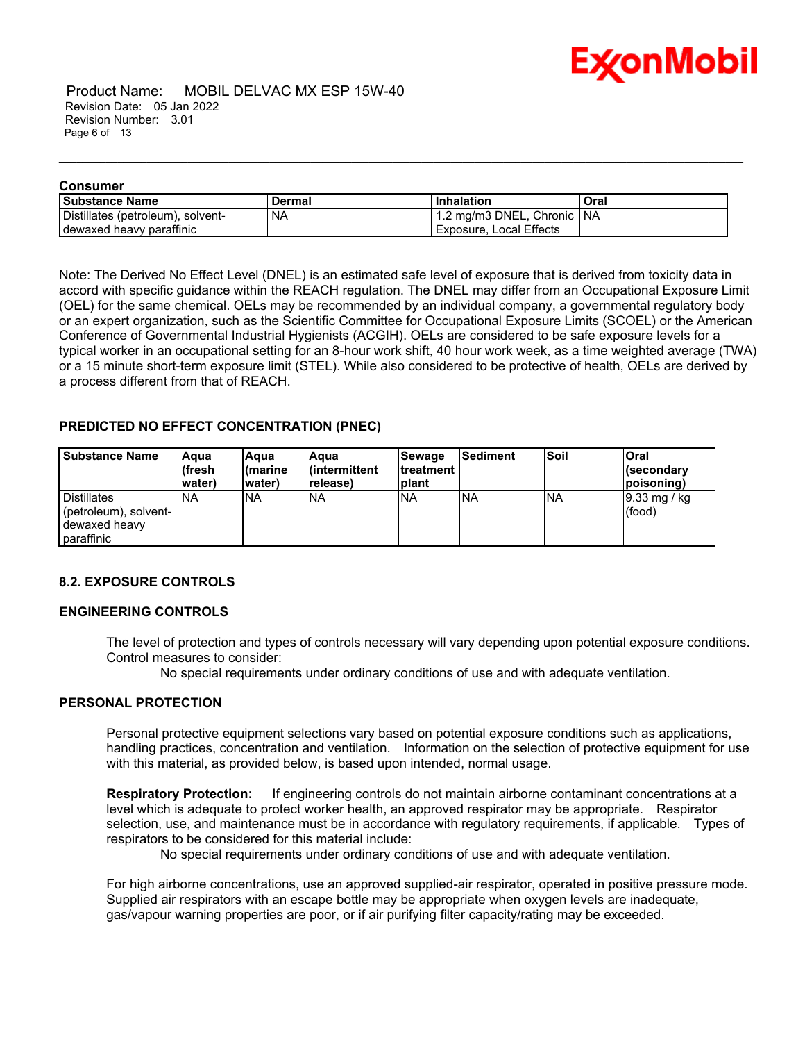

 Product Name: MOBIL DELVAC MX ESP 15W-40 Revision Date: 05 Jan 2022 Revision Number: 3.01 Page 6 of 13

| Consumer                          |           |                              |      |
|-----------------------------------|-----------|------------------------------|------|
| l Substance Name                  | Dermal    | <b>Inhalation</b>            | Oral |
| Distillates (petroleum), solvent- | <b>NA</b> | 1.2 mg/m3 DNEL, Chronic   NA |      |
| dewaxed heavy paraffinic          |           | I Exposure, Local Effects    |      |

\_\_\_\_\_\_\_\_\_\_\_\_\_\_\_\_\_\_\_\_\_\_\_\_\_\_\_\_\_\_\_\_\_\_\_\_\_\_\_\_\_\_\_\_\_\_\_\_\_\_\_\_\_\_\_\_\_\_\_\_\_\_\_\_\_\_\_\_\_\_\_\_\_\_\_\_\_\_\_\_\_\_\_\_\_\_\_\_\_\_\_\_\_\_\_\_\_\_\_\_\_\_\_\_\_\_\_\_\_\_\_\_\_\_\_\_\_

Note: The Derived No Effect Level (DNEL) is an estimated safe level of exposure that is derived from toxicity data in accord with specific guidance within the REACH regulation. The DNEL may differ from an Occupational Exposure Limit (OEL) for the same chemical. OELs may be recommended by an individual company, a governmental regulatory body or an expert organization, such as the Scientific Committee for Occupational Exposure Limits (SCOEL) or the American Conference of Governmental Industrial Hygienists (ACGIH). OELs are considered to be safe exposure levels for a typical worker in an occupational setting for an 8-hour work shift, 40 hour work week, as a time weighted average (TWA) or a 15 minute short-term exposure limit (STEL). While also considered to be protective of health, OELs are derived by a process different from that of REACH.

#### **PREDICTED NO EFFECT CONCENTRATION (PNEC)**

| <b>Substance Name</b>                                                      | lAqua<br>lífresh<br>(water | lAqua<br>l(marine<br>water) | lAaua<br>l(intermittent<br>release) | <b>Sewage</b><br><b>Itreatment</b><br><b>Iplant</b> | <b>Sediment</b> | <b>Soil</b> | <b>Oral</b><br>l(secondarv<br>(poisoning) |
|----------------------------------------------------------------------------|----------------------------|-----------------------------|-------------------------------------|-----------------------------------------------------|-----------------|-------------|-------------------------------------------|
| <b>Distillates</b><br>(petroleum), solvent-<br>dewaxed heavy<br>paraffinic | INA                        | <b>INA</b>                  | <b>NA</b>                           | <b>NA</b>                                           | INA             | <b>INA</b>  | 9.33 mg / kg<br>(food)                    |

#### **8.2. EXPOSURE CONTROLS**

#### **ENGINEERING CONTROLS**

The level of protection and types of controls necessary will vary depending upon potential exposure conditions. Control measures to consider:

No special requirements under ordinary conditions of use and with adequate ventilation.

#### **PERSONAL PROTECTION**

Personal protective equipment selections vary based on potential exposure conditions such as applications, handling practices, concentration and ventilation. Information on the selection of protective equipment for use with this material, as provided below, is based upon intended, normal usage.

**Respiratory Protection:** If engineering controls do not maintain airborne contaminant concentrations at a level which is adequate to protect worker health, an approved respirator may be appropriate. Respirator selection, use, and maintenance must be in accordance with regulatory requirements, if applicable. Types of respirators to be considered for this material include:

No special requirements under ordinary conditions of use and with adequate ventilation.

For high airborne concentrations, use an approved supplied-air respirator, operated in positive pressure mode. Supplied air respirators with an escape bottle may be appropriate when oxygen levels are inadequate. gas/vapour warning properties are poor, or if air purifying filter capacity/rating may be exceeded.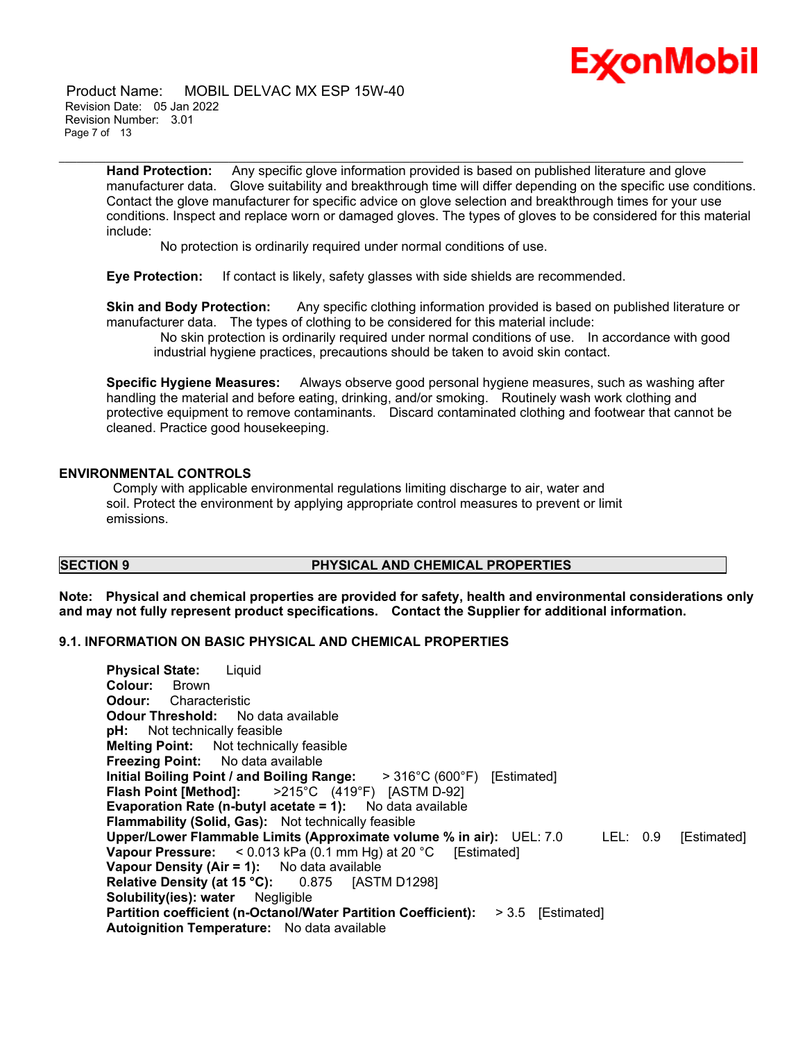

 Product Name: MOBIL DELVAC MX ESP 15W-40 Revision Date: 05 Jan 2022 Revision Number: 3.01 Page 7 of 13

> **Hand Protection:** Any specific glove information provided is based on published literature and glove manufacturer data. Glove suitability and breakthrough time will differ depending on the specific use conditions. Contact the glove manufacturer for specific advice on glove selection and breakthrough times for your use conditions. Inspect and replace worn or damaged gloves. The types of gloves to be considered for this material include:

\_\_\_\_\_\_\_\_\_\_\_\_\_\_\_\_\_\_\_\_\_\_\_\_\_\_\_\_\_\_\_\_\_\_\_\_\_\_\_\_\_\_\_\_\_\_\_\_\_\_\_\_\_\_\_\_\_\_\_\_\_\_\_\_\_\_\_\_\_\_\_\_\_\_\_\_\_\_\_\_\_\_\_\_\_\_\_\_\_\_\_\_\_\_\_\_\_\_\_\_\_\_\_\_\_\_\_\_\_\_\_\_\_\_\_\_\_

No protection is ordinarily required under normal conditions of use.

**Eye Protection:** If contact is likely, safety glasses with side shields are recommended.

**Skin and Body Protection:** Any specific clothing information provided is based on published literature or manufacturer data. The types of clothing to be considered for this material include:

No skin protection is ordinarily required under normal conditions of use. In accordance with good industrial hygiene practices, precautions should be taken to avoid skin contact.

**Specific Hygiene Measures:** Always observe good personal hygiene measures, such as washing after handling the material and before eating, drinking, and/or smoking. Routinely wash work clothing and protective equipment to remove contaminants. Discard contaminated clothing and footwear that cannot be cleaned. Practice good housekeeping.

#### **ENVIRONMENTAL CONTROLS**

Comply with applicable environmental regulations limiting discharge to air, water and soil. Protect the environment by applying appropriate control measures to prevent or limit emissions.

#### **SECTION 9 PHYSICAL AND CHEMICAL PROPERTIES**

**Note: Physical and chemical properties are provided for safety, health and environmental considerations only and may not fully represent product specifications. Contact the Supplier for additional information.**

#### **9.1. INFORMATION ON BASIC PHYSICAL AND CHEMICAL PROPERTIES**

**Physical State:** Liquid **Colour:** Brown **Odour:** Characteristic **Odour Threshold:** No data available **pH:** Not technically feasible **Melting Point:** Not technically feasible **Freezing Point:** No data available **Initial Boiling Point / and Boiling Range:** > 316°C (600°F) [Estimated] **Flash Point [Method]:** >215°C (419°F) [ASTM D-92] **Evaporation Rate (n-butyl acetate = 1):** No data available **Flammability (Solid, Gas):** Not technically feasible **Upper/Lower Flammable Limits (Approximate volume % in air):** UEL: 7.0 LEL: 0.9 [Estimated] **Vapour Pressure:** < 0.013 kPa (0.1 mm Hg) at 20 °C [Estimated] **Vapour Density (Air = 1):** No data available **Relative Density (at 15 °C):** 0.875 [ASTM D1298] **Solubility(ies): water** Negligible **Partition coefficient (n-Octanol/Water Partition Coefficient):** > 3.5 [Estimated] **Autoignition Temperature:** No data available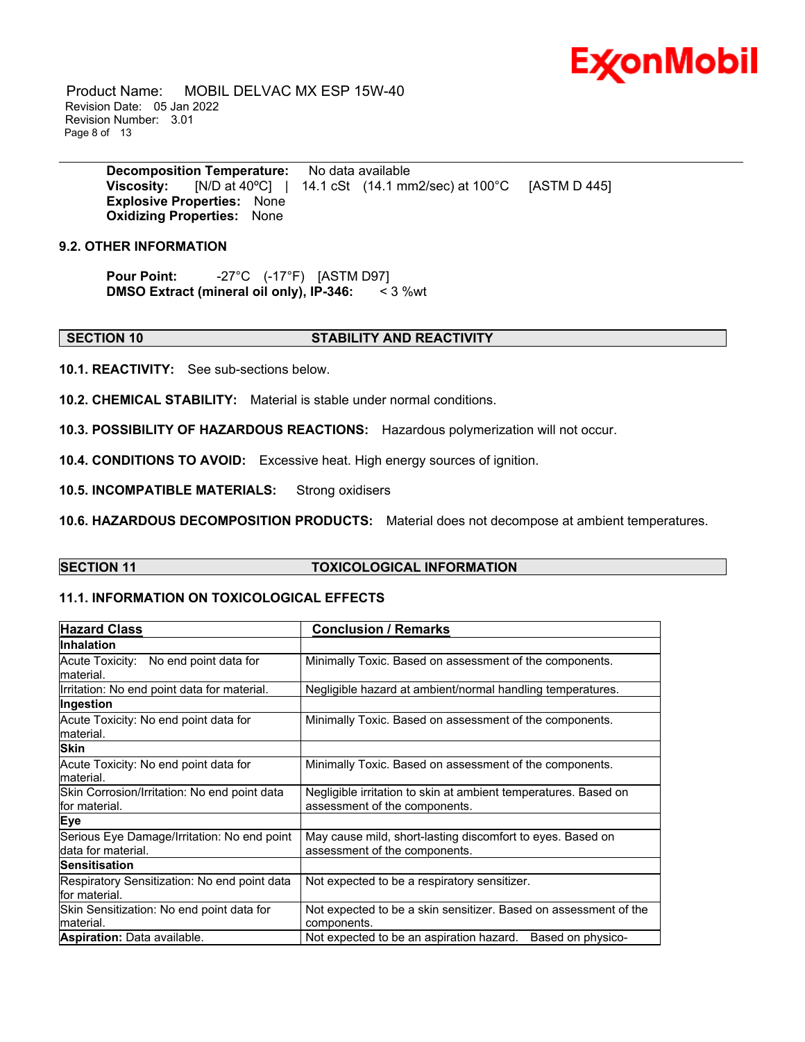

 Product Name: MOBIL DELVAC MX ESP 15W-40 Revision Date: 05 Jan 2022 Revision Number: 3.01 Page 8 of 13

> **Decomposition Temperature:** No data available **Viscosity:** [N/D at 40ºC] | 14.1 cSt (14.1 mm2/sec) at 100°C [ASTM D 445] **Explosive Properties:** None **Oxidizing Properties:** None

\_\_\_\_\_\_\_\_\_\_\_\_\_\_\_\_\_\_\_\_\_\_\_\_\_\_\_\_\_\_\_\_\_\_\_\_\_\_\_\_\_\_\_\_\_\_\_\_\_\_\_\_\_\_\_\_\_\_\_\_\_\_\_\_\_\_\_\_\_\_\_\_\_\_\_\_\_\_\_\_\_\_\_\_\_\_\_\_\_\_\_\_\_\_\_\_\_\_\_\_\_\_\_\_\_\_\_\_\_\_\_\_\_\_\_\_\_

### **9.2. OTHER INFORMATION**

**Pour Point:** -27°C (-17°F) [ASTM D97] **DMSO Extract (mineral oil only), IP-346:** < 3 %wt

#### **SECTION 10 STABILITY AND REACTIVITY**

**10.1. REACTIVITY:** See sub-sections below.

**10.2. CHEMICAL STABILITY:** Material is stable under normal conditions.

**10.3. POSSIBILITY OF HAZARDOUS REACTIONS:** Hazardous polymerization will not occur.

**10.4. CONDITIONS TO AVOID:** Excessive heat. High energy sources of ignition.

**10.5. INCOMPATIBLE MATERIALS:** Strong oxidisers

**10.6. HAZARDOUS DECOMPOSITION PRODUCTS:** Material does not decompose at ambient temperatures.

#### **SECTION 11 TOXICOLOGICAL INFORMATION**

#### **11.1. INFORMATION ON TOXICOLOGICAL EFFECTS**

| <b>Hazard Class</b>                                               | <b>Conclusion / Remarks</b>                                                                      |
|-------------------------------------------------------------------|--------------------------------------------------------------------------------------------------|
| <b>Inhalation</b>                                                 |                                                                                                  |
| Acute Toxicity: No end point data for<br>material.                | Minimally Toxic. Based on assessment of the components.                                          |
| Irritation: No end point data for material.                       | Negligible hazard at ambient/normal handling temperatures.                                       |
| Ingestion                                                         |                                                                                                  |
| Acute Toxicity: No end point data for<br>material.                | Minimally Toxic. Based on assessment of the components.                                          |
| <b>Skin</b>                                                       |                                                                                                  |
| Acute Toxicity: No end point data for<br>material.                | Minimally Toxic. Based on assessment of the components.                                          |
| Skin Corrosion/Irritation: No end point data<br>for material.     | Negligible irritation to skin at ambient temperatures. Based on<br>assessment of the components. |
| Eye                                                               |                                                                                                  |
| Serious Eye Damage/Irritation: No end point<br>data for material. | May cause mild, short-lasting discomfort to eyes. Based on<br>assessment of the components.      |
| <b>Sensitisation</b>                                              |                                                                                                  |
| Respiratory Sensitization: No end point data<br>for material.     | Not expected to be a respiratory sensitizer.                                                     |
| Skin Sensitization: No end point data for<br>lmaterial.           | Not expected to be a skin sensitizer. Based on assessment of the<br>components.                  |
| <b>Aspiration:</b> Data available.                                | Not expected to be an aspiration hazard.<br>Based on physico-                                    |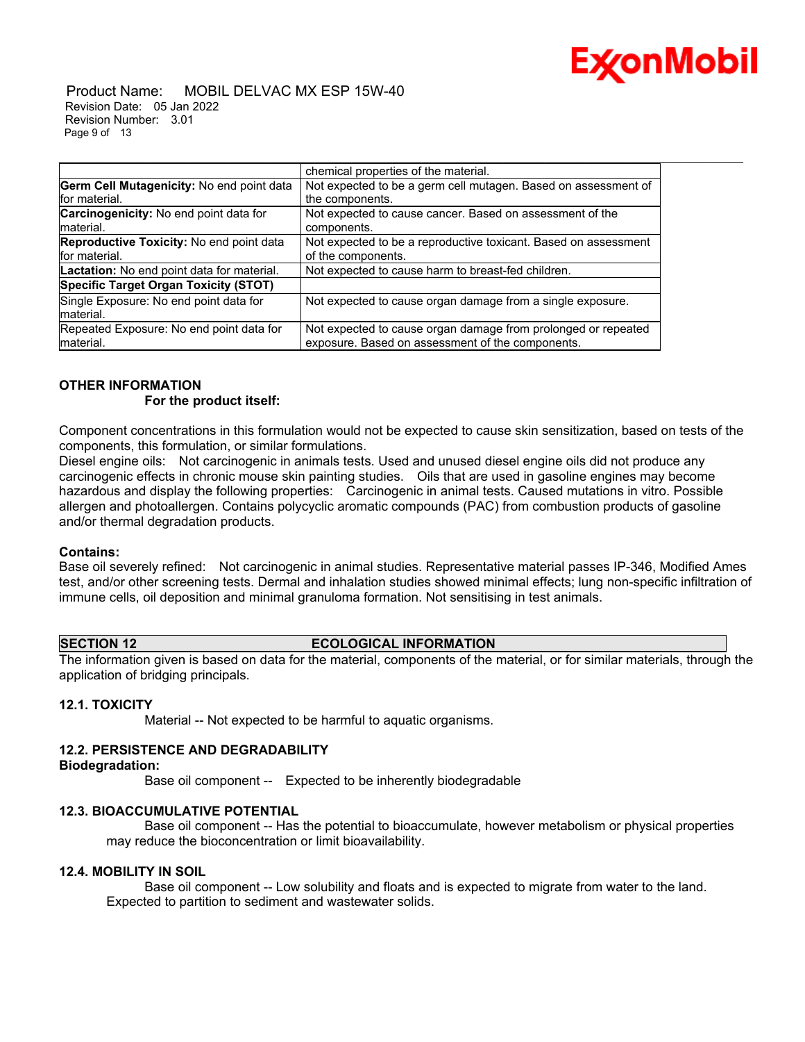

 Product Name: MOBIL DELVAC MX ESP 15W-40 Revision Date: 05 Jan 2022 Revision Number: 3.01 Page 9 of 13

|                                            | chemical properties of the material.                            |
|--------------------------------------------|-----------------------------------------------------------------|
| Germ Cell Mutagenicity: No end point data  | Not expected to be a germ cell mutagen. Based on assessment of  |
| for material.                              | the components.                                                 |
| Carcinogenicity: No end point data for     | Not expected to cause cancer. Based on assessment of the        |
| material.                                  | components.                                                     |
| Reproductive Toxicity: No end point data   | Not expected to be a reproductive toxicant. Based on assessment |
| for material.                              | of the components.                                              |
| Lactation: No end point data for material. | Not expected to cause harm to breast-fed children.              |
| Specific Target Organ Toxicity (STOT)      |                                                                 |
| Single Exposure: No end point data for     | Not expected to cause organ damage from a single exposure.      |
| material.                                  |                                                                 |
| Repeated Exposure: No end point data for   | Not expected to cause organ damage from prolonged or repeated   |
| material.                                  | exposure. Based on assessment of the components.                |

#### **OTHER INFORMATION**

#### **For the product itself:**

Component concentrations in this formulation would not be expected to cause skin sensitization, based on tests of the components, this formulation, or similar formulations.

\_\_\_\_\_\_\_\_\_\_\_\_\_\_\_\_\_\_\_\_\_\_\_\_\_\_\_\_\_\_\_\_\_\_\_\_\_\_\_\_\_\_\_\_\_\_\_\_\_\_\_\_\_\_\_\_\_\_\_\_\_\_\_\_\_\_\_\_\_\_\_\_\_\_\_\_\_\_\_\_\_\_\_\_\_\_\_\_\_\_\_\_\_\_\_\_\_\_\_\_\_\_\_\_\_\_\_\_\_\_\_\_\_\_\_\_\_

Diesel engine oils: Not carcinogenic in animals tests. Used and unused diesel engine oils did not produce any carcinogenic effects in chronic mouse skin painting studies. Oils that are used in gasoline engines may become hazardous and display the following properties: Carcinogenic in animal tests. Caused mutations in vitro. Possible allergen and photoallergen. Contains polycyclic aromatic compounds (PAC) from combustion products of gasoline and/or thermal degradation products.

#### **Contains:**

Base oil severely refined: Not carcinogenic in animal studies. Representative material passes IP-346, Modified Ames test, and/or other screening tests. Dermal and inhalation studies showed minimal effects; lung non-specific infiltration of immune cells, oil deposition and minimal granuloma formation. Not sensitising in test animals.

#### **SECTION 12 ECOLOGICAL INFORMATION**

The information given is based on data for the material, components of the material, or for similar materials, through the application of bridging principals.

#### **12.1. TOXICITY**

Material -- Not expected to be harmful to aquatic organisms.

#### **12.2. PERSISTENCE AND DEGRADABILITY**

#### **Biodegradation:**

Base oil component -- Expected to be inherently biodegradable

#### **12.3. BIOACCUMULATIVE POTENTIAL**

 Base oil component -- Has the potential to bioaccumulate, however metabolism or physical properties may reduce the bioconcentration or limit bioavailability.

### **12.4. MOBILITY IN SOIL**

 Base oil component -- Low solubility and floats and is expected to migrate from water to the land. Expected to partition to sediment and wastewater solids.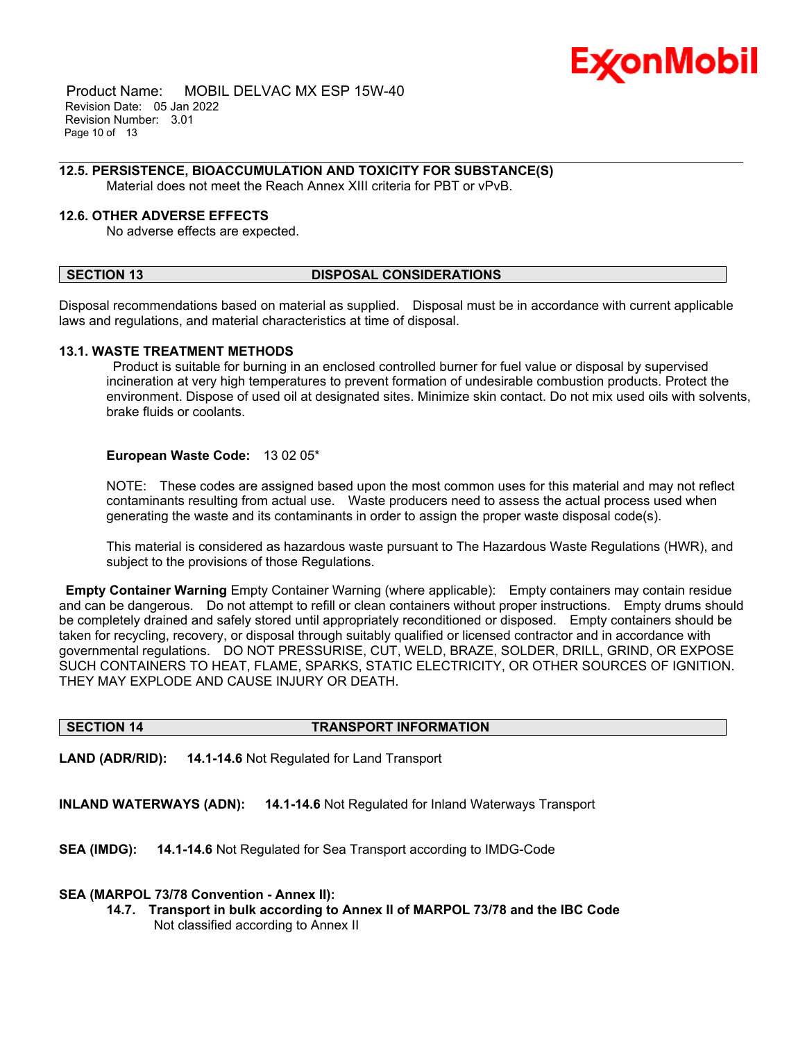

 Product Name: MOBIL DELVAC MX ESP 15W-40 Revision Date: 05 Jan 2022 Revision Number: 3.01 Page 10 of 13

#### \_\_\_\_\_\_\_\_\_\_\_\_\_\_\_\_\_\_\_\_\_\_\_\_\_\_\_\_\_\_\_\_\_\_\_\_\_\_\_\_\_\_\_\_\_\_\_\_\_\_\_\_\_\_\_\_\_\_\_\_\_\_\_\_\_\_\_\_\_\_\_\_\_\_\_\_\_\_\_\_\_\_\_\_\_\_\_\_\_\_\_\_\_\_\_\_\_\_\_\_\_\_\_\_\_\_\_\_\_\_\_\_\_\_\_\_\_ **12.5. PERSISTENCE, BIOACCUMULATION AND TOXICITY FOR SUBSTANCE(S)**

Material does not meet the Reach Annex XIII criteria for PBT or vPvB.

#### **12.6. OTHER ADVERSE EFFECTS**

No adverse effects are expected.

#### **SECTION 13 DISPOSAL CONSIDERATIONS**

Disposal recommendations based on material as supplied. Disposal must be in accordance with current applicable laws and regulations, and material characteristics at time of disposal.

#### **13.1. WASTE TREATMENT METHODS**

Product is suitable for burning in an enclosed controlled burner for fuel value or disposal by supervised incineration at very high temperatures to prevent formation of undesirable combustion products. Protect the environment. Dispose of used oil at designated sites. Minimize skin contact. Do not mix used oils with solvents, brake fluids or coolants.

#### **European Waste Code:** 13 02 05\*

NOTE: These codes are assigned based upon the most common uses for this material and may not reflect contaminants resulting from actual use. Waste producers need to assess the actual process used when generating the waste and its contaminants in order to assign the proper waste disposal code(s).

This material is considered as hazardous waste pursuant to The Hazardous Waste Regulations (HWR), and subject to the provisions of those Regulations.

**Empty Container Warning** Empty Container Warning (where applicable): Empty containers may contain residue and can be dangerous. Do not attempt to refill or clean containers without proper instructions. Empty drums should be completely drained and safely stored until appropriately reconditioned or disposed. Empty containers should be taken for recycling, recovery, or disposal through suitably qualified or licensed contractor and in accordance with governmental regulations. DO NOT PRESSURISE, CUT, WELD, BRAZE, SOLDER, DRILL, GRIND, OR EXPOSE SUCH CONTAINERS TO HEAT, FLAME, SPARKS, STATIC ELECTRICITY, OR OTHER SOURCES OF IGNITION. THEY MAY EXPLODE AND CAUSE INJURY OR DEATH.

#### **SECTION 14 TRANSPORT INFORMATION**

**LAND (ADR/RID): 14.1-14.6** Not Regulated for Land Transport

**INLAND WATERWAYS (ADN): 14.1-14.6** Not Regulated for Inland Waterways Transport

**SEA (IMDG): 14.1-14.6** Not Regulated for Sea Transport according to IMDG-Code

#### **SEA (MARPOL 73/78 Convention - Annex II):**

**14.7. Transport in bulk according to Annex II of MARPOL 73/78 and the IBC Code** Not classified according to Annex II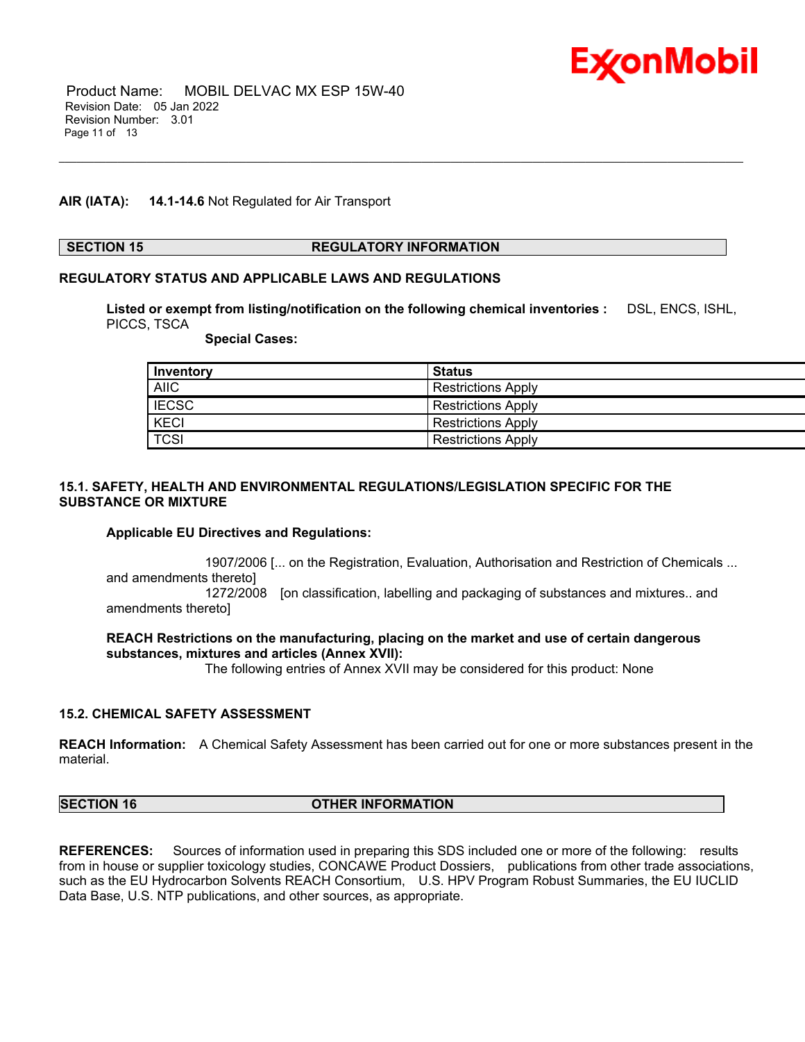

#### **AIR (IATA): 14.1-14.6** Not Regulated for Air Transport

#### **SECTION 15 REGULATORY INFORMATION**

#### **REGULATORY STATUS AND APPLICABLE LAWS AND REGULATIONS**

**Listed or exempt from listing/notification on the following chemical inventories :** DSL, ENCS, ISHL, PICCS, TSCA

\_\_\_\_\_\_\_\_\_\_\_\_\_\_\_\_\_\_\_\_\_\_\_\_\_\_\_\_\_\_\_\_\_\_\_\_\_\_\_\_\_\_\_\_\_\_\_\_\_\_\_\_\_\_\_\_\_\_\_\_\_\_\_\_\_\_\_\_\_\_\_\_\_\_\_\_\_\_\_\_\_\_\_\_\_\_\_\_\_\_\_\_\_\_\_\_\_\_\_\_\_\_\_\_\_\_\_\_\_\_\_\_\_\_\_\_\_

 **Special Cases:**

| Inventory        | <b>Status</b>             |
|------------------|---------------------------|
| <b>AIIC</b>      | <b>Restrictions Apply</b> |
| E <sub>esc</sub> | <b>Restrictions Apply</b> |
| <b>KECI</b>      | <b>Restrictions Apply</b> |
| TCSI             | <b>Restrictions Apply</b> |

#### **15.1. SAFETY, HEALTH AND ENVIRONMENTAL REGULATIONS/LEGISLATION SPECIFIC FOR THE SUBSTANCE OR MIXTURE**

#### **Applicable EU Directives and Regulations:**

 1907/2006 [... on the Registration, Evaluation, Authorisation and Restriction of Chemicals ... and amendments thereto] 1272/2008 [on classification, labelling and packaging of substances and mixtures.. and

amendments thereto]

#### **REACH Restrictions on the manufacturing, placing on the market and use of certain dangerous substances, mixtures and articles (Annex XVII):**

The following entries of Annex XVII may be considered for this product: None

#### **15.2. CHEMICAL SAFETY ASSESSMENT**

**REACH Information:** A Chemical Safety Assessment has been carried out for one or more substances present in the material.

### **SECTION 16 OTHER INFORMATION**

**REFERENCES:** Sources of information used in preparing this SDS included one or more of the following: results from in house or supplier toxicology studies, CONCAWE Product Dossiers, publications from other trade associations, such as the EU Hydrocarbon Solvents REACH Consortium, U.S. HPV Program Robust Summaries, the EU IUCLID Data Base, U.S. NTP publications, and other sources, as appropriate.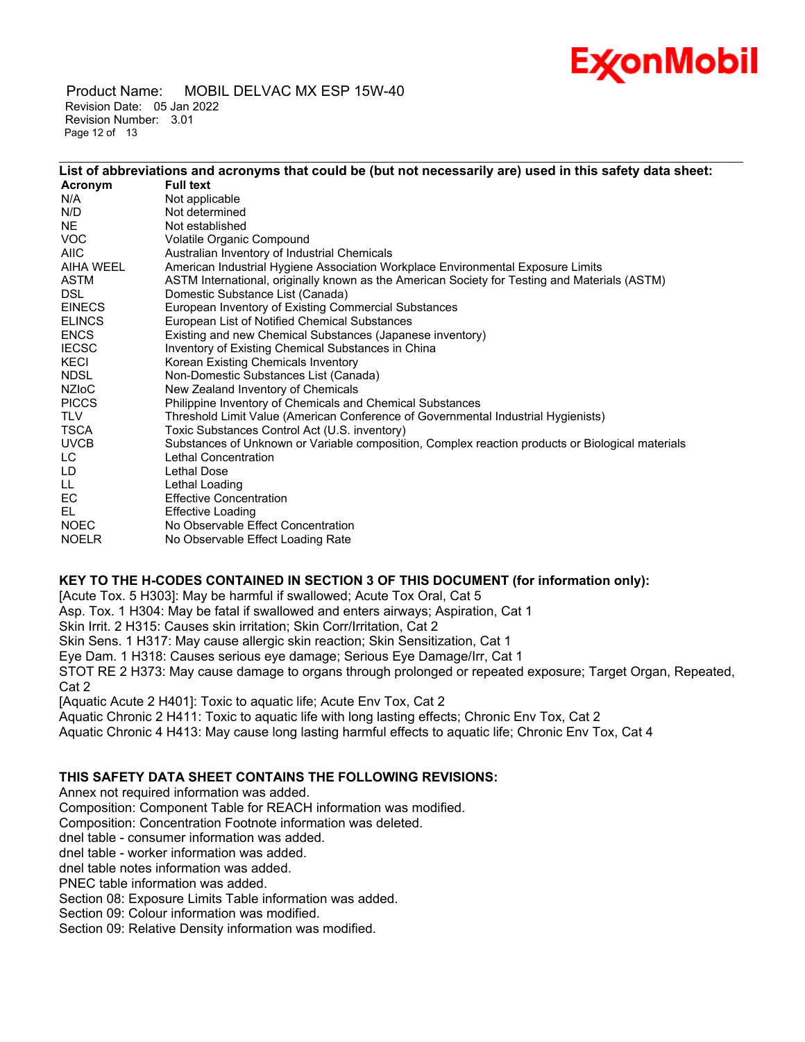# Ex⁄onMobil

 Product Name: MOBIL DELVAC MX ESP 15W-40 Revision Date: 05 Jan 2022 Revision Number: 3.01 Page 12 of 13

| List of abbreviations and acronyms that could be (but not necessarily are) used in this safety data sheet: |
|------------------------------------------------------------------------------------------------------------|
| <b>Full text</b>                                                                                           |
| Not applicable                                                                                             |
| Not determined                                                                                             |
| Not established                                                                                            |
| Volatile Organic Compound                                                                                  |
| Australian Inventory of Industrial Chemicals                                                               |
| American Industrial Hygiene Association Workplace Environmental Exposure Limits                            |
| ASTM International, originally known as the American Society for Testing and Materials (ASTM)              |
| Domestic Substance List (Canada)                                                                           |
| European Inventory of Existing Commercial Substances                                                       |
| European List of Notified Chemical Substances                                                              |
| Existing and new Chemical Substances (Japanese inventory)                                                  |
| Inventory of Existing Chemical Substances in China                                                         |
| Korean Existing Chemicals Inventory                                                                        |
| Non-Domestic Substances List (Canada)                                                                      |
| New Zealand Inventory of Chemicals                                                                         |
| Philippine Inventory of Chemicals and Chemical Substances                                                  |
| Threshold Limit Value (American Conference of Governmental Industrial Hygienists)                          |
| Toxic Substances Control Act (U.S. inventory)                                                              |
| Substances of Unknown or Variable composition, Complex reaction products or Biological materials           |
| Lethal Concentration                                                                                       |
| Lethal Dose                                                                                                |
| Lethal Loading                                                                                             |
| <b>Effective Concentration</b>                                                                             |
| <b>Effective Loading</b>                                                                                   |
| No Observable Effect Concentration                                                                         |
| No Observable Effect Loading Rate                                                                          |
|                                                                                                            |

\_\_\_\_\_\_\_\_\_\_\_\_\_\_\_\_\_\_\_\_\_\_\_\_\_\_\_\_\_\_\_\_\_\_\_\_\_\_\_\_\_\_\_\_\_\_\_\_\_\_\_\_\_\_\_\_\_\_\_\_\_\_\_\_\_\_\_\_\_\_\_\_\_\_\_\_\_\_\_\_\_\_\_\_\_\_\_\_\_\_\_\_\_\_\_\_\_\_\_\_\_\_\_\_\_\_\_\_\_\_\_\_\_\_\_\_\_

### **KEY TO THE H-CODES CONTAINED IN SECTION 3 OF THIS DOCUMENT (for information only):**

[Acute Tox. 5 H303]: May be harmful if swallowed; Acute Tox Oral, Cat 5

Asp. Tox. 1 H304: May be fatal if swallowed and enters airways; Aspiration, Cat 1

Skin Irrit. 2 H315: Causes skin irritation; Skin Corr/Irritation, Cat 2

Skin Sens. 1 H317: May cause allergic skin reaction; Skin Sensitization, Cat 1

Eye Dam. 1 H318: Causes serious eye damage; Serious Eye Damage/Irr, Cat 1

STOT RE 2 H373: May cause damage to organs through prolonged or repeated exposure; Target Organ, Repeated, Cat 2

[Aquatic Acute 2 H401]: Toxic to aquatic life; Acute Env Tox, Cat 2

Aquatic Chronic 2 H411: Toxic to aquatic life with long lasting effects; Chronic Env Tox, Cat 2

Aquatic Chronic 4 H413: May cause long lasting harmful effects to aquatic life; Chronic Env Tox, Cat 4

#### **THIS SAFETY DATA SHEET CONTAINS THE FOLLOWING REVISIONS:**

Annex not required information was added.

Composition: Component Table for REACH information was modified.

Composition: Concentration Footnote information was deleted.

dnel table - consumer information was added.

dnel table - worker information was added.

dnel table notes information was added.

PNEC table information was added.

Section 08: Exposure Limits Table information was added.

Section 09: Colour information was modified.

Section 09: Relative Density information was modified.